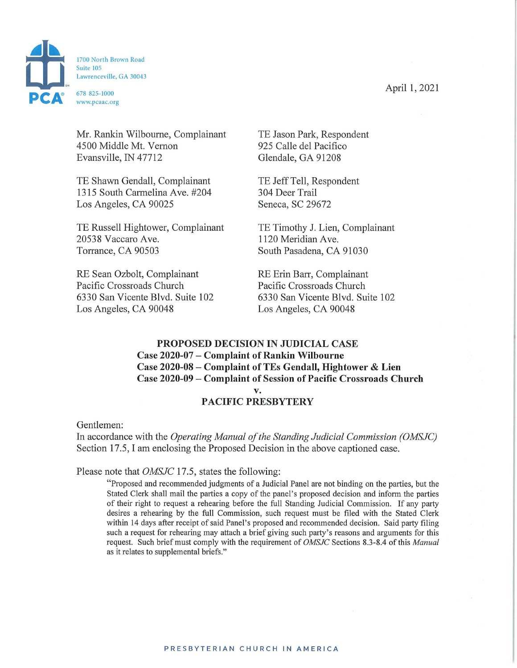



Mr. Rankin Wilbourne, Complainant 4500 Middle Mt. Vernon Evansville, IN 47712

TE Shawn Gendall, Complainant 1315 South Carmelina Ave. #204 Los Angeles, CA 90025

TE Russell Hightower, Complainant 20538 Vaccaro Ave. Torrance, CA 90503 South Pasadena, CA 91030

RE Sean Ozbolt, Complainant Pacific Crossroads Church 6330 San Vicente Blvd. Suite 102 Los Angeles, CA 90048

TE Jason Park, Respondent 925 Calle del Pacifico Glendale, GA 91208

TE Jeff Tell, Respondent 304 Deer Trail Seneca, SC 29672

TE Timothy J. Lien, Complainant 1120 Meridian Ave.

RE Erin Barr, Complainant Pacific Crossroads Church 6330 San Vicente Blvd. Suite 102 Los Angeles, CA 90048

## **PROPOSED DECISION IN JUDICIAL CASE Case 2020-07 - Complaint of Rankin Wilbourne Case 2020-08 - Complaint of TEs Gendall, Hightower & Lien Case 2020-09 - Complaint of Session of Pacific Crossroads Church v.**

## **PACIFIC PRESBYTERY**

Gentlemen:

In accordance with the *Operating Manual of the Standing Judicial Commission (OMSJC)*  Section 17.5, I am enclosing the Proposed Decision in the above captioned case.

Please note that *OMSJC* 17.5, states the following:

"Proposed and recommended judgments of a Judicial Panel are not binding on the parties, but the Stated Clerk shall mail the parties a copy of the panel's proposed decision and inform the parties of their right to request a rehearing before the full Standing Judicial Commission. If any party desires a rehearing by the full Commission, such request must be filed with the Stated Clerk within 14 days after receipt of said Panel's proposed and recommended decision. Said party filing such a request for rehearing may attach a brief giving such party's reasons and arguments for this request. Such brief must comply with the requirement of *OMSJC* Sections 8.3-8.4 of this *Manual*  as it relates to supplemental briefs."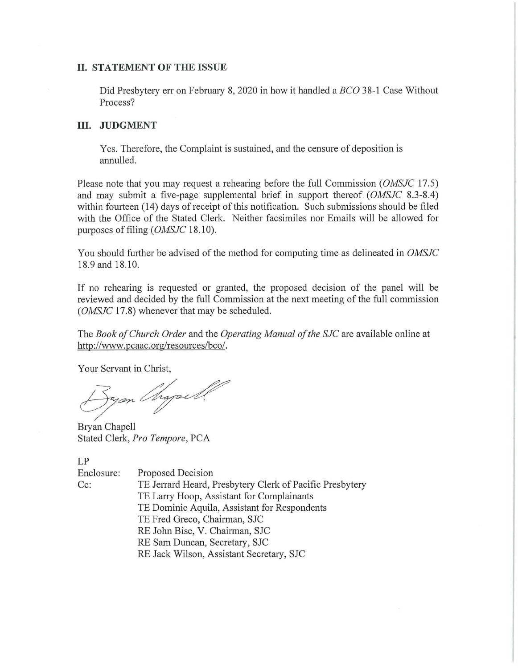## **II. STATEMENT OF THE ISSUE**

Did Presbytery err on Febrnary 8, 2020 in how it handled a *BCO* 38-1 Case Without Process?

## **III. JUDGMENT**

Yes. Therefore, the Complaint is sustained, and the censure of deposition is annulled.

Please note that you may request a rehearing before the full Commission *(OMSJC* 17.5) and may submit a five-page supplemental brief in support thereof *(OMSJC* 8.3-8.4) within fourteen (14) days of receipt of this notification. Such submissions should be filed with the Office of the Stated Clerk. Neither facsimiles nor Emails will be allowed for purposes of filing ( *OMSJC* 18.10).

You should further be advised of the method for computing time as delineated in *OMSJC*  18.9 and 18.10.

If no rehearing is requested or granted, the proposed decision of the panel will be reviewed and decided by the full Commission at the next meeting of the full commission *(OMSJC* 17.8) whenever that may be scheduled.

The *Book of Church Order* and the *Operating Manual of the SJC* are available online at http://www.pcaac.org/resources/bco/.

Your Servant in Christ,

\, µ,\_ \_\_\_\_ 7 7~~- ✓ ~

Bryan Chapell Stated Clerk, *Pro Tempore,* PCA

LP

Enclosure: Cc: Proposed Decision TE Jerrard Heard, Presbytery Clerk of Pacific Presbytery TE Larry Hoop, Assistant for Complainants TE Dominic Aquila, Assistant for Respondents TE Fred Greco, Chairman, SJC RE John Bise, V. Chairman, SJC RE Sam Duncan, Secretary, SJC RE Jack Wilson, Assistant Secretary, SJC